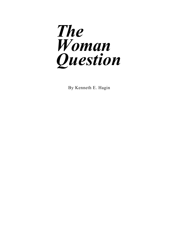# *The Woman Question*

By Kenneth E. Hagin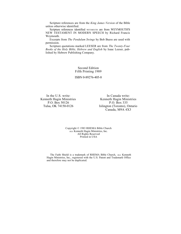Scripture references are from the *King James Version* of the Bible unless otherwise identified.

Scripture references identified WEYMOUTH are from WEYMOUTH'S NEW TESTAMENT IN MODERN SPEECH by Richard Francis Weymouth.

Excerpts from *The Pendulum Swings* by Bob Buess are used with permission.

Scripture quotations marked LEESER are from *The Twenty-Four Books of the Holy Bible, Hebrew and English* by Isaac Leeser, published by Hebrew Publishing Company.

> Second Edition Fifth Printing 1989

ISBN 0-89276-405-8

P.O. Box 50126

In the U.S. write: In Canada write: Kenneth Hagin Ministries<br>
P.O. Box 50126<br>
R.O. Box 335 Tulsa, OK 74150-0126 Islington (Toronto), Ontario Canada, M9A 4X3

> Copyright © 1983 RHEMA Bible Church AKA Kenneth Hagin Ministries, Inc. All Rights Reserved Printed in USA

The Faith Shield is a trademark of RHEMA Bible Church, AKA Kenneth Hagin Ministries, Inc., registered with the U.S. Patent and Trademark Office and therefore may not be duplicated.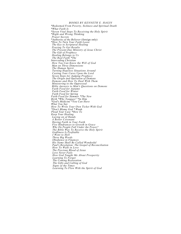#### *BOOKS BY KENNETH E. HAGIN*

*\*Redeemed From Poverty, Sickness and Spiritual Death \*What Faith Is \*Seven Vital Steps To Receiving the Holy Spirit \*Right and Wrong Thinking Prayer Secrets \*Authority of the Believer* (foreign only) *\*How To Turn Your Faith Loose The Key to Scriptural Healing Praying To Get Results The Present-Day Ministry of Jesus Christ The Gift of Prophecy Healing Belongs to Us The Real Faith \*The Interceding Christian How You Can Know the Will of God Man on Three Dimensions The Human Spirit Turning Hopeless Situations Around Casting Your Cares Upon the Lord Seven Steps for Judging Prophecy The Origin and Operation of Demons Demons and How To Deal With Them Ministering to the Oppressed Bible Answers to Man's Questions on Demons Faith Food for Autumn Faith Food for Winter Faith Food for Spring Faith Food for Summer \*The New Birth \*Why Tongues? \*In Him \*God's Medicine \*You Can Have What You Say How To Write Your Own Ticket With God \*Don't Blame God \* Words Plead Your Case \*How To Keep Your Healing Laying on of Hands A Better Covenant Having Faith in Your Faith Five Hindrances to Growth in Grace Why Do People Fall Under the Power? The Bible Way To Receive the Holy Spirit Godliness Is Profitable I Went to Hell Three Big Words Obedience in Finances His Name Shall Be Called Wonderful Paul's Revelation: The Gospel of Reconciliation How To Walk in Love The Precious Blood of Jesus Love Never Fails How God Taught Me About Prosperity Learning To Forget The Coming Restoration The Gifts and Calling of God Signs of the Times Learning To Flow With the Spirit of God*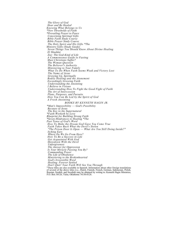*The Glory of God Hear and Be Healed Knowing What Belongs to Us \*New Thresholds of Faith \*Prevailing Prayer to Peace Concerning Spiritual Gifts Bible Faith Study Course Bible Prayer Study Course The Holy Spirit and His Gifts \*The Ministry Gifts (Study Guide) Seven Things You Should Know About Divine Healing El Shaddai Zoe: The God-Kind of Life A Commonsense Guide to Fasting Must Christians Suffer? The Woman Question The Believer's Authority Ministering to Your Family What To Do When Faith Seems Weak and Victory Lost The Name of Jesus Growing Up, Spiritually Bodily Healing and the Atonement Exceedingly Growing Faith Understanding the Anointing I Believe in Visions Understanding How To Fight the Good Fight of Faith The Art of Intercession Plans, Purposes, and Pursuits How You Can Be Led by the Spirit of God A Fresh Anointing BOOKS BY KENNETH HAGIN JR. \*Man's Impossibility* — *God's Possibility Because of Jesus The Key to the Supernatural \*Faith Worketh by Love Blueprint for Building Strong Faith \*Seven Hindrances to Healing \*The Past Tense of God's Word How To Make the Dream God Gave You Come True Faith Takes Back What the Devil's Stolen "The Prison Door Is Open* — *What Are You Still Doing Inside?" Itching Ears Where Do We Go From Here? How To Be a Success in Life Get Acquainted With God Showdown With the Devil*

*Unforgiveness*

*The Answer for Oppression Is Your Miracle Passing You By?*

*Commanding Power*

*The Life of Obedience*

*Ministering to the Brokenhearted*

*God's Irresistible Word*

*Healing: Forever Settled*

*Don't Quit! Your Faith Will See You Through*

"These titles are also available in Spanish. Information about other foreign translations of several of the above titles (i.e., Dutch, Finnish, French, German, Indonesian, Polish, Russian, Swahili, and Swedish) may be obtained by writing to: Kenneth Hagin Ministries, P.O. Box 50126, Tulsa, Oklahoma 74150-0126.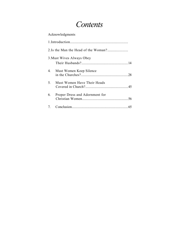## *Contents*

### Acknowledgments

|    | 3. Must Wives Always Obey      |  |
|----|--------------------------------|--|
| 4. | Must Women Keep Silence        |  |
| 5. | Must Women Have Their Heads    |  |
| 6. | Proper Dress and Adornment for |  |
|    |                                |  |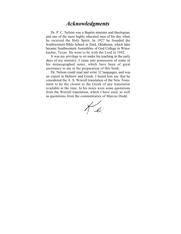## *Acknowledgments*

Dr. P. C. Nelson was a Baptist minister and theologian, and one of the most highly educated men of his day when he received the Holy Spirit. In 1927 he founded the Southwestern Bible School in Enid, Oklahoma, which later became Southwestern Assemblies of God College in Waxahachie, Texas. He went to be with the Lord in 1942.

It was my privilege to sit under his teaching in the early days of my ministry. I came into possession of some of his mimeographed notes, which have been of great assistance to me in the preparation of this book.

Dr. Nelson could read and write 32 languages, and was an expert in Hebrew and Greek. I heard him say that he considered the A. S. Worrell translation of the New Testament to be the closest to the Greek of any translation available at the time. In his notes were some quotations from the Worrell translation, which I have used, as well as quotations from the commentaries of Marcus Dodd.

Ke.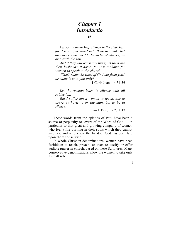## *Chapter 1 Introductio n*

*Let your women keep silence in the churches: for it is not permitted unto them to speak; but they are commanded to be under obedience, as also saith the law.*

*And if they will learn any thing, let them ask their husbands at home: for it is a shame for women to speak in the church.*

*What? came the word of God out from you? or came it unto you only?*

— 1 Corinthians 14:34-36

*Let the woman learn in silence with all subjection.*

*But I suffer not a woman to teach, nor to usurp authority over the man, but to be in silence.*

*—* 1 Timothy 2:11,12

These words from the epistles of Paul have been a source of perplexity to lovers of the Word of God — in particular to that great and growing company of women who feel a fire burning in their souls which they cannot smother, and who know the hand of God has been laid upon them for service.

In whole Christian denominations, women have been forbidden to teach, preach, or even to testify or offer audible prayer in church, based on these Scriptures. Many conservative denominations allow the women to take only a small role.

1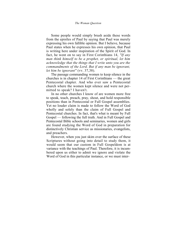Some people would simply brush aside these words from the epistles of Paul by saying that Paul was merely expressing his own fallible opinion. But I believe, because Paul states when he expresses his own opinion, that Paul is writing here under inspiration of the Spirit of God. In fact, he went on to say in First Corinthians 14, *"If any man think himself to be a prophet, or spiritual, let him acknowledge that the things that I write unto you are the commandments of the Lord. But if any man be ignorant, let him be ignorant"* (vv. 37,38).

The passage commanding women to keep silence in the churches is in chapter 14 of First Corinthians — the great Pentecostal chapter. And who ever saw a Pentecostal church where the women kept silence and were not permitted to speak? I haven't.

In no other churches I know of are women more free to speak, teach, preach, pray, shout, and hold responsible positions than in Pentecostal or Full Gospel assemblies. Yet no louder claim is made to follow the Word of God wholly and solely than the claim of Full Gospel and Pentecostal churches. In fact, that's what is meant by Full Gospel — following the full truth. And in Full Gospel and Pentecostal Bible schools and seminaries, women and girls are found studying the Word of God in preparation for distinctively Christian service as missionaries, evangelists, and preachers.

However, when you just skim over the surface of these Scriptures without going into detail to study them, it would seem that our custom in Full Gospeldom is at variance with the teachings of Paul. Therefore, it is incumbered upon us either to admit we ignore and violate the Word of God in this particular instance, or we must inter-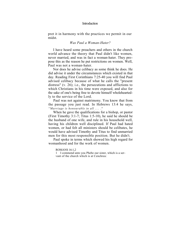#### **Introduction**

pret it in harmony with the practices we permit in our midst.

#### *Was Paul a Woman-Hater?*

I have heard some preachers and others in the church world advance the theory that Paul didn't like women, never married, and was in fact a woman-hater. They propose this as the reason he put restrictions on women. Well, Paul was not a woman-hater.

Nor does he advise celibacy as some think he does. He did advise it under the circumstances which existed in that day. Reading First Corinthians 7:25-40 you will find Paul advised celibacy because of what he calls the "present distress" (v. 26); i.e., the persecutions and afflictions to which Christians in his time were exposed, and also for the sake of one's being free to devote himself wholeheartedly to the service of the Lord.

Paul was not against matrimony. You know that from the passage you just read. In Hebrews 13:4 he says, *''Marriage is honourable in all* . . . ."

When he gave the qualifications for a bishop, or pastor (First Timothy 3:1-7; Titus 1:5-10), he said he should be the husband of one wife, and rule in his household well, having his children well disciplined. If Paul had hated women, or had felt all ministers should be celibates, he would have advised Timothy and Titus to find unmarried men for this most responsible position. But he didn't.

Paul spoke in terms which showed his high regard for womanhood and for the work of women.

ROMANS 16:1,2

1 I commend unto you Phebe our sister, which is a servant of the church which is at Cenchrea: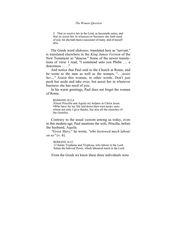2 That ye receive her in the Lord, as becometh saints, and that ye assist her in whatsoever business she hath need of you: for she hath been a succourer of many, and of myself also.

The Greek word *diakonos,* translated here as "servant," is translated elsewhere in the *King James Version* of the New Testament as "deacon." Some of the newer translations of verse 1 read, "I commend unto you Phebe . . . a deaconess . . . ."

And notice that Paul said to the Church at Rome, and he wrote to the men as well as the women, ".. *.assist her*...." Assist this woman, in other words. Don't just push her aside and take over, but assist her in whatever business she has need of you.

In his warm greetings, Paul does not forget the women of Rome.

ROMANS 16:3,4

3Greet Priscilla and Aquila my helpers in Christ Jesus: 4Who have for my life laid down their own necks: unto whom not only I give thanks, but also all the churches of the Gentiles.

Contrary to the usual custom among us today, even in this modern age, Paul mentions the wife, Priscilla, before the husband, Aquila.

*"Greet Mary,*" he wrote, *"who bestowed much labour on us"* (v. 6).

ROMANS 16:12

12 Salute Tryphena and Tryphosa, who labour in the Lord. Salute the beloved Persis, which laboured much in the Lord.

From the Greek we know these three individuals were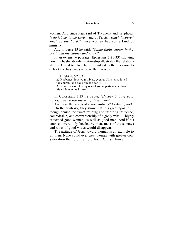#### Introduction 5

women. And since Paul said of Tryphena and Tryphosa, *"who labour in the Lord,*" and of Persis, *"which laboured much in the Lord,"* these women had some kind of ministry.

And in verse 13 he said, *"Salute Rufus chosen in the Lord, and his mother and mine.'"*

In an extensive passage (Ephesians 5:21-33) showing how the husband-wife relationship illustrates the relationship of Christ to His Church, Paul takes the occasion to exhort the husbands to love their wives:

#### EPHESIANS 5:25,33

25 Husbands, love your wives, even as Christ also loved the church, and gave himself for it  $\dots$ . 33 Nevertheless let every one of you in particular so love his wife even as himself ....

In Colossians 3:19 he wrote, *"Husbands, love your wives, and be not bitter against them/'*

Are these the words of a woman-hater? Certainly not!

On the contrary, they show that this great apostle though denied the sweet refining and inspiring influence, comradeship, and companionship of a godly wife — highly esteemed good women, as well as good men. And if his counsels were only heeded by men, most of the sorrows and woes of good wives would disappear.

The attitude of Jesus toward women is an example to all men. None could ever treat women with greater consideration than did the Lord Jesus Christ Himself.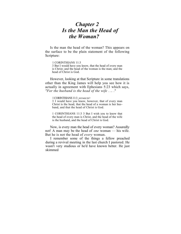## *Chapter 2 Is the Man the Head of the Woman?*

Is the man the head of the woman? This appears on the surface to be the plain statement of the following Scripture:

1 CORINTHIANS 11:3

3 But I would have you know, that the head of every man is Christ; and the head of the woman is the man; and the head of Christ is God.

However, looking at that Scripture in some translations other than the King James will help you see how it is actually in agreement with Ephesians 5:23 which says, *"For the husband is the head of the wife* . .. ."

1 CORINTHIANS 11:3 (WEYMOUTH>

3 I would have you know, however, that of every man Christ is the head, that the head of a woman is her husband, and that the head of Christ is God.

1 CORINTHIANS 11:3 3 But I wish you to know that the head of every man is Christ, and the head of the wife is the husband, and the head of Christ is God.

Now, is every man the head of every woman? Assuredly not! A man may be the head of *one* woman — his wife. But he is not the head of *every* woman.

I remember some of the things a fellow preached during a revival meeting in the last church I pastored. He wasn't very studious or he'd have known better. He just skimmed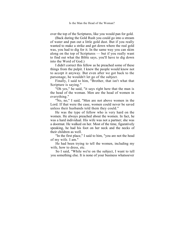over the top of the Scriptures, like you would pan for gold.

(Back during the Gold Rush you could go into a stream of water and pan out a little gold dust. But if you really wanted to make a strike and get down where the real gold was, you had to dig for it. In the same way you can skim along on the top of Scriptures — but if you really want to find out what the Bible says, you'll have to dig down into the Word of God.)

I didn't correct this fellow as he preached some of these things from the pulpit. I knew the people would know not to accept it anyway. But even after we got back to the parsonage, he wouldn't let go of the subject.

Finally, I said to him, "Brother, that isn't what that Scripture is saying."

"Oh yes," he said, "it says right here that the man is the head of the woman. Men are the head of women in everything."

"No, no," I said, "Men are not above women in the Lord. If that were the case, women could never be saved unless their husbands told them they could."

He was the type of fellow who is very hard on the women. He always preached about the women. In fact, he was a hard individual. His wife was not a partner; she was a doormat. He walked on her. Most of the time, figuratively speaking, he had his foot on her neck and the necks of their children as well.

"In the first place," I said to him, "you are not the head of my wife. I am."

He had been trying to tell the women, including my wife, how to dress, etc.

So I said, "While we're on the subject, I want to tell you something else. It is none of your business whatsoever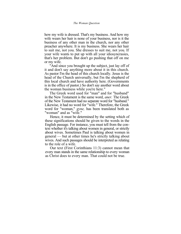how my wife is dressed. That's my business. And how my wife wears her hair is none of your business, nor is it the business of any other man in the church, nor any other preacher anywhere. It is my business. She wears her hair to suit me, not you. She dresses to suit me, not you. If your wife wants to put up with all your idiosyncrasies, that's her problem. But don't go pushing that off on me or my wife.

"And since you brought up the subject, just lay off of it and don't say anything more about it in this church. As pastor I'm the head of this church locally. Jesus is the head of the Church universally, but I'm the shepherd of this local church and have authority here. (Governments is in the office of pastor.) So don't say another word about the woman business while you're here."

The Greek word used for "man" and for "husband" in the New Testament is the same word, *aner.* The Greek of the New Testament had no separate word for "husband." Likewise, it had no word for "wife." Therefore, the Greek word for "woman," *gyne,* has been translated both as "woman" and as "wife."

Hence, it must be determined by the setting which of these significations should be given to the words in the English passage. For instance, you must tell from the context whether it's talking about women in general, or strictly about wives. Sometimes Paul is talking about women in general — but at other times he's strictly talking about wives. And such passages should be interpreted as relating to the role of a wife.

Our text (First Corinthians 11:3) cannot mean that every man stands in the same relationship to every woman as Christ does to every man. That could not be true.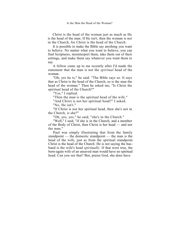Christ is the head of the woman just as much as He is the head of the man. If He isn't, then the woman is not in the Church, for Christ is the head of the Church.

It is possible to make the Bible say anything you want to believe. No matter what you want to believe, you can find Scriptures, misinterpret them, take them out of their settings, and make them say whatever you want them to say.

A fellow came up to me recently after I'd made the statement that the man is not the *spiritual* head of the woman.

"Oh, yes he is," he said. "The Bible says so. It says that as Christ is the head of the Church, so is the man the head of the woman." Then he asked me, "Is Christ the spiritual head of the Church?"

"Yes," I replied.

"Then the man is the spiritual head of the wife."

"And Christ is not her spiritual head?" I asked.

"No, He isn't."

"If Christ is not her spiritual head, then she's not in the Church, is she?"

"Oh, yes, yes," he said, "she's in the Church."

"Well," I said, "if she is in the Church, and a member of the Body of Christ, then Christ is her head — and not the man."

Paul was simply illustrating that from the family standpoint — the domestic standpoint — the man is the head of the wife, just as from the spiritual standpoint Christ is the head of the Church. He is not saying the husband is the wife's head *spiritually.* If that were true, the born-again wife of an unsaved man would have no spiritual head. Can you see that? But, praise God, she does have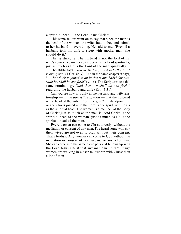a spiritual head — the Lord Jesus Christ!

This same fellow went on to say that since the man is the head of the woman, the wife should obey and submit to her husband in everything. He said to me, "Even if a husband tells his wife to sleep with another man, she should do it."

That is stupidity. The husband is not the lord of his wife's conscience — her spirit. Jesus is her Lord spiritually, just as much as He is the Lord of the man spiritually.

The Bible says, *"But he that is joined unto the Lord is one spirit<sup>1</sup> '* (1 Cor. 6:17). And in the same chapter it says, ". . . *he which is joined to an harlot is one body? for two, saith he, shall be one flesh"* (v. 16). The Scriptures use this same terminology, *"and they two shall be one flesh,*" regarding the husband and wife (Eph. 5:31).

Can you see how it is only in the husband-and-wife relationship — in the *domestic* situation — that the husband is the head of the wife? From the *spiritual* standpoint, he or she who is joined unto the Lord is one spirit, with Jesus as the spiritual head. The woman is a member of the Body of Christ just as much as the man is. And Christ is the spiritual head of the woman, just as much as He is the spiritual head of the man.

Every woman can come to Christ directly, without the mediation or consent of any man. I've heard some who say their wives are not even to pray without their consent. That's foolish. Any woman can come to God without the mediation or consent of her husband or any other man. She can come into the same close personal fellowship with the Lord Jesus Christ that any man can. In fact, many women are walking in closer fellowship with Christ than a lot of men.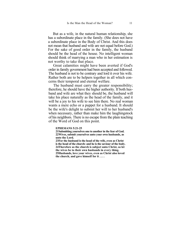But as a wife, in the natural human relationship, she has a subordinate place in the family. (She does not have a subordinate place in the Body of Christ. And this does not mean that husband and wife are not equal before God.) For the sake of good order in the family, the husband should be the head of the house. No intelligent woman should think of marrying a man who in her estimation is not worthy to take that place.

Great calamities might have been averted if God's order in family government had been accepted and followed. The husband is not to be contrary and lord it over his wife. Rather both are to be helpers together in all which concerns their temporal and eternal welfare.

The husband must carry the greater responsibility; therefore, he should have the higher authority. If both husband and wife are what they should be, the husband will take his place naturally as the head of the family, and it will be a joy to his wife to see him there. No real woman wants a mere echo or a puppet for a husband. It should be the wife's delight to submit her will to her husband's when necessary, rather than make him the laughingstock of his neighbors. There is no escape from the plain teaching of the Word of God on this point.

#### **EPHESIANS 5:21-25**

**21Submitting yourselves one to another in the fear of God. 22Wives, submit yourselves unto your own husbands, as unto the Lord.**

**23For the husband is the head of the wife, even as Christ is the head of the church: and he is the saviour of the body. 24Therefore as the church is subject unto Christ, so let the wives be to their own husbands in every thing. 25Husbands, love your wives, even as Christ also loved the church, and gave himself for it . . . .**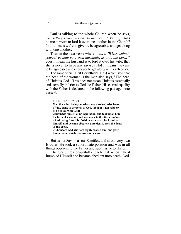Paul is talking to the whole Church when he says, *"Submitting yourselves one to another.*..." (v. 21). Does he mean we're to lord it over one another in the Church? No! It means we're to give in, be agreeable, and get along with one another.

Then in the next verse where it says, *"Wives, submit yourselves unto your own husbands, as unto the Lord,* " does it mean the husband is to lord it over his wife; that she is never to have any say-so? No! It means they are to be agreeable and endeavor to get along with each other.

The same verse (First Corinthians 11:3) which says that the head of the woman is the man also says, "The head of Christ is God." This does not mean Christ is essentially and eternally inferior to God the Father. His eternal equality with the Father is declared in the following passage; note verse 6.

#### PHILIPPIANS 2:5-9

**5Let this mind be in you, which was also in Christ Jesus: 6Who, being in the form of God, thought it not robbery to be equal with God:**

**7But made himself of no reputation, and took upon him the form of a servant, and was made in the likeness of men: 8And being found in fashion as a man, he humbled himself, and became obedient unto death, even the death of the cross.**

**9Wherefore God also hath highly exalted him, and given him a name which is above every name:**

But as our Savior, as our Sacrifice, and as our very own Brother, He took a subordinate position and was in all things obedient to the Father and submissive to His will.

The Scriptures beautifully teach that when Christ humbled Himself and became obedient unto death, God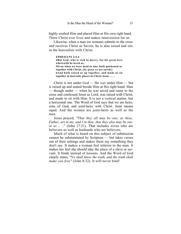highly exalted Him and placed Him at His own right hand. There Christ ever lives and makes intercession for us.

Likewise, when a man (or woman) submits to the cross and receives Christ as Savior, he is also raised and sits in the heavenlies with Christ.

**EPHESIANS 2:4-6 4But God, who is rich in mercy, for his great love wherewith he loved us, 5Even when we were dead in sins, hath quickened us together with Christ, (by grace ye are saved;) 6And hath raised us up together, and made us sit together in heavenly places in Christ Jesus . . . .**

Christ is not under God — He *was* under Him — but is raised up and seated beside Him at His right hand. Man — though under — when he was saved and came to the cross and confessed Jesus as Lord, was raised with Christ, and made to sit with Him. It is not a vertical matter, but a horizontal one. The Word of God says that we are heirs, sons of God, and joint-heirs with Christ. Joint means equal. And the women are joint-heirs as well as the men.

Jesus prayed, *"That they all may be one; as thou, Father, art in me, and I in thee, that they also may be one in us* .. .." (John 17:21). That includes wives who are believers as well as husbands who are believers.

Much of what is heard on this subject of submission cannot be substantiated by Scripture — but takes verses out of their settings and makes them say something they don't say. It makes a woman feel inferior to the man. It makes her feel she should take the place of a slave or servant. It binds instead of loosens. And the Word of God clearly states, "Ye *shall know the truth, and the truth shall make you free"* (John 8:32). It will never bind!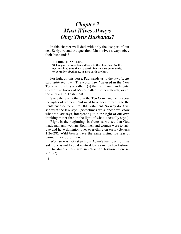## *Chapter 3 Must Wives Always Obey Their Husbands?*

In this chapter we'll deal with only the last part of our text Scripture and the question: Must wives always obey their husbands?

#### **1 CORINTHIANS 14:34**

**34 Let your women keep silence in the churches: for it is not permitted unto them to speak; but they are commanded to be under obedience, as also saith the law.**

For light on this verse, Paul sends us to the law, ".. *.as also saith the law.*" The word "law," as used in the New Testament, refers to either: (a) the Ten Commandments, (b) the five books of Moses called the Pentateuch, or (c) the entire Old Testament.

Since there is nothing in the Ten Commandments about the rights of women, Paul must have been referring to the Pentateuch or the entire Old Testament. So why don't we see what the law says. (Sometimes we suppose we know what the law says, interpreting it in the light of our own thinking rather than in the light of what it actually says.)

Right in the beginning, in Genesis, we see that God made man and woman. Both men and women were to subdue and have dominion over everything on earth (Genesis 1:26-28). Wild beasts have the same instinctive fear of women they do of men.

Woman was not taken from Adam's feet, but from his side. She is not to be downtrodden, as in heathen fashion, but to stand at his side in Christian fashion (Genesis 2:21,22).

14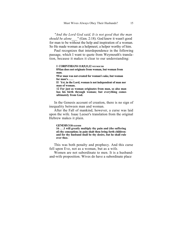*"And the Lord God said, It is not good that the man should be alone* " (Gen. 2:18). God knew it wasn't good for man to be without the help and inspiration of a woman. So He made woman as a helpmeet; a helper worthy of him.

Paul recognizes that interdependence in the following passage, which I want to quote from Weymouth's translation, because it makes it clear to our understanding:

**I CORINTHIANS 11:8,9,11,12 WEYMOUTHI**

**8Man does not originate from woman, but woman from man.**

**9For man was not created for woman's sake, but woman for man's . . . .**

**II Yet, in the Lord, woman is not independent of man nor man of woman.**

**12 For just as woman originates from man, so also man has his birth through woman; but everything comes ultimately from God.**

In the Genesis account of creation, there is no sign of inequality between man and woman.

After the Fall of mankind, however, a curse was laid upon the wife. Isaac Leeser's translation from the original Hebrew makes it plain.

**GENESIS 3:16 ILEESERI**

**16 . . .1 will greatly multiply thy pain and (the suffering of) thy conception; in pain shalt thou bring forth children: and for thy husband shall be thy desire, but he shall rule over thee.**

This was both penalty and prophecy. And this curse fell upon Eve, not as a woman, but as a wife.

Women are not subordinate to men. It is a husbandand-wife proposition. Wives do have a subordinate place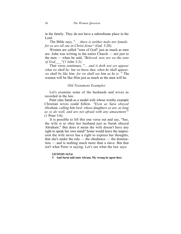in the family. They do not have a subordinate place in the Lord.

The Bible says, ". . *.there is neither male nor female: for ye are all one in Christ Jesus<sup>11</sup>* (Gal. 3:28).

Women are called "sons of God" just as much as men are. John was writing to the entire Church — not just to the men — when he said, *"Beloved, now are we the sons of God*  $\blacksquare$  (1 John 3:2).

That verse continues, ".. *.and it doth not yet appear what we shall be: but we know that, when he shall appear, we shall be like him; for we shall see him as he is.* " The women will be like Him just as much as the men will be.

#### *Old Testament Examples*

Let's examine some of the husbands and wives as recorded in the law.

Peter cites Sarah as a model wife whose worthy example Christian wives could follow. *"Even as Sara obeyed Abraham, calling him lord: whose daughters ye are, as long as ye do well, and are not afraid with any amazement'''* (1 Peter 3:6).

It is possible to lift this one verse out and say, "See, the wife is to obey her husband just as Sarah obeyed Abraham." But does it mean the wife doesn't have any right to speak her own mind? Some would leave the impression the wife never has a right to express her thoughts, that she's under the rule — the obedience — the domination — and is nothing much more than a slave. But that isn't what Peter is saying. Let's see what the law says:

**GENESIS 16:5,6**

**5 And Sarai said unto Abram, My wrong be upon thee:**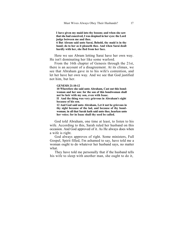**I have given my maid into thy bosom; and when she saw that she had conceived, I was despised in her eyes: the Lord judge between me and thee.**

**6 But Abram said unto Sarai, Behold, thy maid is in thy hand; do to her as it pleaseth thee. And when Sarai dealt hardly with her, she fled from her face.**

Here we see Abram letting Sarai have her own way. He isn't dominating her like some warlord.

From the 16th chapter of Genesis through the 21st, there is an account of a disagreement. At its climax, we see that Abraham gave in to his wife's contention, and let her have her own way. And we see that God justified not him, but her.

#### **GENESIS 21:10-12**

**10 Wherefore she said unto Abraham, Cast out this bondwoman and her son: for the son of this bondwoman shall not be heir with my son, even with Isaac.**

**II And the thing was very grievous in Abraham's sight because of his son.**

**12 And God said unto Abraham, Let it not be grievous in thy sight because of the lad, and because of thy bondwoman; in all that Sarah hath said unto thee, hearken unto her voice; for in Isaac shall thy seed be called.**

God told Abraham, one time at least, to listen to his wife. According to this, Sarah ruled her husband on this occasion. And God approved of it. As He always does when a wife is right.

God always approves of right. Some ministers, Full Gospel, Spirit filled, I'm ashamed to say, have told me a woman ought to do whatever her husband says, no matter what.

They have told me personally that if the husband tells his wife to sleep with another man, she ought to do it,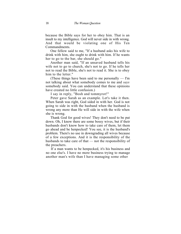because the Bible says for her to obey him. That is an insult to my intelligence. God will never side in with wrong. And that would be violating one of His Ten Commandments.

One fellow said to me, "If a husband asks his wife to drink with him, she ought to drink with him. If he wants her to go to the bar, she should go."

Another man said, "If an unsaved husband tells his wife not to go to church, she's not to go. If he tells her not to read the Bible, she's not to read it. She is to obey him to the letter."

(These things have been said to me personally — I'm not talking about what somebody comes to me and *says* somebody said. You can understand that these opinions have created no little confusion.)

I say in reply, "Bosh and tommyrot!"

Peter gave Sarah as an example. Let's take it then. When Sarah was right, God sided in with her. God is not going to side in with the husband when the husband is wrong any more than He will side in with the wife when she is wrong.

Thank God for good wives! They don't need to be put down. Oh, I know there are some bossy wives, but if their husbands don't know how to take care of them, let them go ahead and be henpecked! You see, it is the husband's problem. There's no use in downgrading all wives because of a few exceptions. And it is the responsibility of the husbands to take care of that — not the responsibility of the preachers.

If a man wants to be henpecked, it's his business and no one else's. I have no more business trying to manage another man's wife than I have managing some other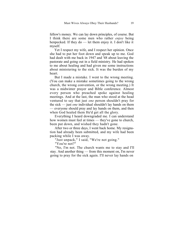fellow's money. We can lay down principles, of course. But I think there are some men who rather *enjoy* being henpecked. If they do — let them enjoy it. I don't like it myself.

Yet I respect my wife, and I respect her opinion. Once she had to put her foot down and speak up to me. God had dealt with me back in 1947 and '48 about leaving the pastorate and going out in a field ministry. He had spoken to me about healing and had given me some instructions about ministering to the sick. It was the burden of my heart.

But I made a mistake. I went to the wrong meeting. (You can make a mistake sometimes going to the wrong church, the wrong convention, or the wrong meeting.) It was a midwinter prayer and Bible conference. Almost every person who preached spoke against healing meetings. And at the last, the man who stood at the head ventured to say that just *one* person shouldn't pray for the sick — just *one* individual shouldn't lay hands on them — everyone should pray and lay hands on them, and then when God healed them He'd get all the glory.

Everything I heard downgraded me. I can understand how women must feel at times — they've gone to church, been put down, and wished they hadn't gone.

After two or three days, I went back home. My resignation had already been submitted, and my wife had been packing while I was away.

"Just unpack," I said, "We're not going."

"You're not?"

"No, I'm not. The church wants me to stay and I'll stay. And another thing — from this moment on, I'm never going to pray for the sick again. I'll never lay hands on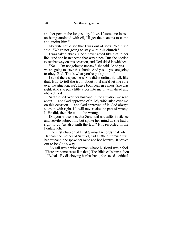another person the longest day I live. If someone insists on being anointed with oil, I'll get the deacons to come and anoint him."

My wife could see that I was out of sorts. "No!" she said. "We're not going to stay with this church."

I was taken aback. She'd never acted like that in her life. And she hasn't acted that way since. But she needed to act that way on this occasion, and God sided in with her.

"No — I'm not going to unpack," she said. "And yes we are going to leave this church. And yes — you are going to obey God. That's what you're going to do!"

I stood there speechless. She didn't ordinarily talk like that. But, to tell the truth about it, if she'd let me rule over the situation, we'd have both been in a mess. She was right. And she put a little vigor into me. I went ahead and obeyed God.

Sarah ruled over her husband in the situation we read about — and God approved of it. My wife ruled over me on this occasion — and God approved of it. God always sides in with right. He will never take the part of wrong. If He did, then He would be wrong.

Did you notice, too, that Sarah did not suffer in silence and servile subjection, but spoke her mind as she had a right to do "as also saith the law." It is recorded in the Pentateuch.

The first chapter of First Samuel records that when Hannah, the mother of Samuel, had a little difference with her husband, she spoke her mind and had her way. It proved out to be God's way.

Abigail was a wise woman whose husband was a fool. (There are some cases like that.) The Bible calls him a "son of Belial." By disobeying her husband, she saved a critical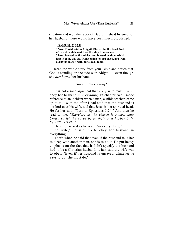situation and won the favor of David. If she'd listened to her husband, there would have been much bloodshed.

#### 1 SAMUEL 25:32,33

**32And David said to Abigail, Blessed be the Lord God of Israel, which sent thee this day to meet me: 33And blessed be thy advice, and blessed be thou, which hast kept me this day from coming to shed blood, and from avenging myself with mine own hand.**

Read the whole story from your Bible and notice that God is standing on the side with Abigail — even though she *disobeyed* her husband.

#### *Obey in Everything?*

It is not a sane argument that *every* wife must *always* obey her husband in *everything.* In chapter two I made reference to an incident when a man, a Bible teacher, came up to talk with me after I had said that the husband is not lord over his wife, and that Jesus is her spiritual head. He further said, "Turn to Ephesians 5:24." And then he read to me, *"Therefore as the church is subject unto Christ, so let the wives be to their own husbands in EVERY THING."*

He emphasized as he read, "in every thing."

"A wife," he said, "is to obey her husband in everything."

That's when he said that even if the husband tells her to sleep with another man, she is to do it. He put heavy emphasis on the fact that it didn't specify the husband had to be a Christian husband; it just said the wife was to obey. "Even if her husband is unsaved, whatever he says to do, she must do."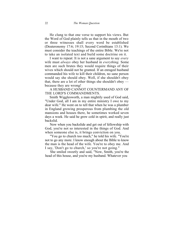He clung to that one verse to support his views. But the Word of God plainly tells us that in the mouth of two or three witnesses shall every word be established (Deuteronomy 17:6; 19:15; Second Corinthians 13:1). We must consider the teachings of the entire Bible. We're not to take an isolated text and build some doctrine on it.

I want to repeat: It is not a sane argument to say *every* wife must *always* obey her husband in *everything.* Some men are such brutes they would require things of their wives which should not be granted. If an enraged husband commanded his wife to kill their children, no sane person would say she should obey. Well, if she shouldn't obey that, there are a lot of other things she shouldn't obey because they are wrong!

A HUSBAND CANNOT COUNTERMAND ANY OF THE LORD'S COMMANDMENTS.

Smith Wigglesworth, a man mightily used of God said, "Under God, all I am in my entire ministry I owe to my dear wife." He went on to tell that when he was a plumber in England growing prosperous from plumbing the old mansions and houses there, he sometimes worked seven days a week. He said he grew cold in spirit, and really just backslid.

Now when you backslide and get out of fellowship with God, you're not so interested in the things of God. And when someone else is, it brings conviction on you.

"You go to church too much," he told his wife. "You're not to go any more. I know enough about the Bible to know the man is the head of the wife. You're to obey me. And I say, 'Don't go to church,' so you're not going."

She smiled sweetly and said, "Now, Smith, you're the head of this house, and you're my husband. Whatever you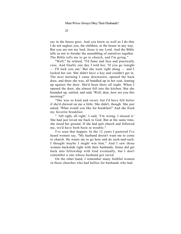23

say in the house goes. And you know as well as I do that I do not neglect you, the children, or the house in any way. But you are not my lord. Jesus is my Lord. And the Bible tells us not to forsake the assembling of ourselves together. The Bible tells me to go to church, and I'm going."

"Well," he related, "I'd fume and fuss and practically cuss. And finally one day I told her, 'If you go tonight — I'll lock you out.' But she went right along — and I locked her out. She didn't have a key and couldn't get in. The next morning I came downstairs, opened the back door, and there she was, all bundled up in her coat, leaning up against the door. She'd been there all night. When I opened the door, she almost fell into the kitchen. But she bounded up, smiled, and said, 'Well, dear, how are you this morning?'

"She was so kind and sweet, but I'd have felt better if she'd chewed on me a little. She didn't, though. She just asked, 'What would you like for breakfast?' And she fixed my favorite breakfast.

" 'AH right, all right,' I said, 'I'm wrong. I missed it.' She had just loved me back to God. But at the same time, she stood her ground. If she had quit church and followed me, we'd have both been in trouble."

I've seen that happen. In the 12 years I pastored I've heard women say, "My husband doesn't want me to come to church. He wants me to go here and do such-and-such. I thought maybe I might win him." And I saw those women backslide right with their husbands. Some did get back into fellowship with God eventually, but I don't remember a one whose husband got saved.

On the other hand, I remember many faithful women in those churches who had bullies for husbands who had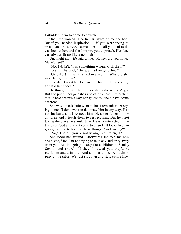forbidden them to come to church.

One little woman in particular: What a time she had! But if you needed inspiration  $-$  if you were trying to preach and the service seemed dead — all you had to do was look at her, and she'd inspire you to preach. Her face was always lit up like a neon sign.

One night my wife said to me, "Honey, did you notice Mary's feet?"

"No, I didn't. Was something wrong with them?"

"Well," she said, "she just had on galoshes."

"Galoshes! It hasn't rained in a month. Why did she wear her galoshes?"

"Joe didn't want her to come to church. He was angry and hid her shoes."

He thought that if he hid her shoes she wouldn't go. But she put on her galoshes and came ahead. I'm certain that if he'd thrown away her galoshes, she'd have come barefoot.

She was a meek little woman, but I remember her saying to me, "I don't want to dominate him in any way. He's my husband and I respect him. He's the father of my children and I teach them to respect him. But he's not taking the place he should take. He isn't interested in the things of God and won't come to church. It looks like I'm going to have to lead in these things. Am I wrong?"

"No," I said, "you're not wrong. You're right."

She stood her ground. Afterwards she told me how she'd said, "Joe, I'm not trying to take any authority away from you. But I'm going to keep these children in Sunday School and church. If they followed you they'd be gambling and drinking. And another thing, we ought to pray at the table. We just sit down and start eating like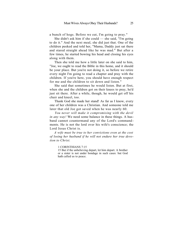a bunch of hogs. Before we eat, I'm going to pray."

She didn't ask him if she could — she said, "I'm going to do it." And the next meal, she did just that. One of the children peeked and told her, "Mama, Daddy just sat there and stared straight ahead like he was mad." But after a few times, he started bowing his head and closing his eyes along with them.

Then she told me how a little later on she said to him, "Joe, we ought to read the Bible in this home, and it should be your place. But you're not doing it, so before we retire every night I'm going to read a chapter and pray with the children. If you're here, you should have enough respect for me and the children to sit down and listen."

She said that sometimes he would listen. But at first, when she and the children got on their knees to pray, he'd just sit there. After a while, though, he would get off his chair and kneel, too.

Thank God she made her stand! As far as I know, every one of her children was a Christian. And someone told me later that old Joe got saved when he was nearly 60.

*You never will make it compromising with the devil in any way!* We need some balance in these things. A husband cannot countermand any of the Lord's commandments. He is not the lord over his wife's conscience; the Lord Jesus Christ is.

*A wife must be true to her convictions even at the cost of losing her husband if he will not endure her true devotion to Christ.*

1 CORINTHIANS 7:15

15 But if the unbelieving depart, let him depart. A brother or a sister is not under bondage in such cases: but God hath called us to peace.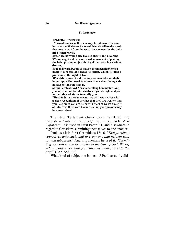#### *Submission*

**1 PETER 3:1-7 WEYMOUTH)**

**1Married women, in the same way, be submissive to your husbands, so that even if some of them disbelieve the word, they may, apart from the word, be won over by the daily life of their wives,**

**2after seeing your daily lives so chaste and reverent. 3Yours ought not to be outward adornment of plaiting the hair, putting on jewels of gold, or wearing various dresses,**

**4but an inward beauty of nature, the imperishable orna ment of a gentle and peaceful spirit, which is indeed precious in the sight of God.**

**5For this is how of old the holy women who set their hopes upon God used to adorn themselves, being sub missive to their husbands.**

**6Thus Sarah obeyed Abraham, calling him master. And you have become Sarah's children if you do right and per mit nothing whatever to terrify you.**

**7Husbands, in the same way, live with your wives with a clear recognition of the fact that they are weaker than you. Yet, since you are heirs with them of God's free gift of Life, treat them with honour; so that your prayers may be unrestrained.**

The New Testament Greek word translated into English as "submit," "subject," "submit yourselves" is *hupotasso.* It is used in First Peter 3:1, and elsewhere in regard to Christians submitting themselves to one another.

Paul uses it in First Corinthians 16:16, *"That ye submit yourselves unto such, and to every one that helpeth with us, and laboureth.*" And in Ephesians he used it, *"Submitting yourselves one to another in the fear of God. Wives, submit yourselves unto your own husbands, as unto the Lord"* (Eph. 5:21,22).

What kind of subjection is meant? Paul certainly did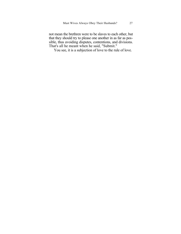not mean the brethren were to be slaves to each other, but that they should try to please one another in as far as possible, thus avoiding disputes, contentions, and divisions. That's all he meant when he said, "Submit."

You see, it is a subjection of love to the rule of love.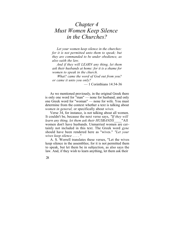## *Chapter 4 Must Women Keep Silence in the Churches?*

*Let your women keep silence in the churches: for it is not permitted unto them to speak; but they are commanded to be under obedience, as also saith the law.*

*And if they will LEARN any thing, let them ask their husbands at home: for it is a shame for women to speak in the church.*

*What? came the word of God out from you? or came it unto you only?*

— 1 Corinthians 14:34-36

As we mentioned previously, in the original Greek there is only one word for "man" — none for husband; and only one Greek word for "woman" — none for wife. You must determine from the context whether a text is talking about *women in general,* or specifically about *wives.*

Verse 34, for instance, is not talking about all women. It couldn't be, because the next verse says, *"If they will learn any thing, let them ask their HUSBANDS* TAll women don't have husbands. Unmarried women are certainly not included in this text. The Greek word *gyne* should have been rendered here as "wives." *"Let your wives keep silence* . . . . "

A. S. Worrell translates these verses, "Let the wives keep silence in the assemblies; for it is not permitted them to speak, but let them be in subjection, as also says the law. And, if they wish to learn anything, let them ask their

28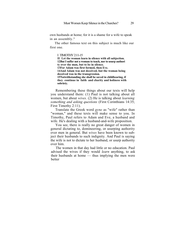own husbands at home; for it is a shame for a wife to speak in an assembly."

The other famous text on this subject is much like our first one.

#### I TIMOTHY 2:11-15

**II Let the woman learn in silence with all subjection. 12But I suffer not a woman to teach, nor to usurp authori ty over the man, but to be in silence. 13For Adam was first formed, then Eve. 14And Adam was not deceived, but the woman being deceived was in the transgression. 15Notwithstanding she shall be saved in childbearing, if they continue in faith and charity and holiness with sobriety.**

Remembering these things about our texts will help you understand them: (1) Paul is not talking about all women, but about *wives.* (2) He is talking about *learning something and asking questions* (First Corinthians 14:35; First Timothy 2:11).

Translate the Greek word *gyne* as "wife" rather than "woman," and these texts will make sense to you. In Timothy, Paul refers to Adam and Eve, a husband and wife. He's dealing with a husband-and-wife proposition.

You see, there is really no great danger of women in general dictating to, domineering, or usurping authority over men in general. But *wives* have been known to subject their husbands to such indignity. And Paul is saying the wife is not to dictate to her husband, or usurp authority over him.

The women in that day had little or no education. Paul advised the wives if they would *learn* anything, to ask their husbands at home — thus implying the men were better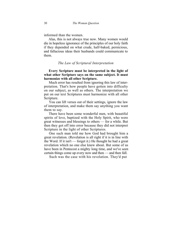informed than the women.

Alas, this is not always true now. Many women would die in hopeless ignorance of the principles of our holy faith if they depended on what crude, half-baked, pernicious, and fallacious ideas their husbands could communicate to them.

#### *The Law of Scriptural Interpretation*

**Every Scripture must be interpreted in the light of what other Scripture says on the same subject. It must harmonize with all other Scripture.**

Much error has resulted from ignoring this law of interpretation. That's how people have gotten into difficulty on our subject, as well as others. The interpretation we put on our text Scriptures must harmonize with all other Scripture.

You can lift verses out of their settings, ignore the law of interpretation, and make them say anything you want them to say.

There have been some wonderful men, with beautiful spirits of love, baptized with the Holy Spirit, who were great witnesses and blessings to others — for a while. But then they got off into error because they did not interpret Scripture in the light of other Scriptures.

One such man told me how God had brought him a great revelation. (Revelation is all right if it is in line with the Word. If it isn't — forget it.) He thought he had a great revelation which no one else knew about. But some of us have been in Pentecost a mighty long time, and we've seen certain things come up every now and then — and then fall.

Such was the case with his revelation. They'd put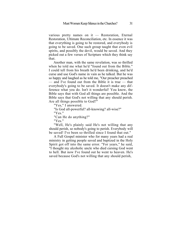various pretty names on it — Restoration, Eternal Restoration, Ultimate Reconciliation, etc. In essence it was that everything is going to be restored, and everybody is going to be saved. One such group taught that even evil spirits, and possibly the devil, would be saved. And they picked out a few verses of Scripture which they think say that.

Another man, with the same revelation, was so thrilled when he told me what he'd "found out from the Bible." I could tell from his breath he'd been drinking, and he'd curse and use God's name in vain as he talked. But he was so happy and laughed as he told me, "Our preacher preached — and I've found out from the Bible it is true — that everybody's going to be saved. It doesn't make any difference what you do. Isn't it wonderful! You know, the Bible says that with God all things are possible. And the Bible says that God's not willing that any should perish. Are all things possible to God?"

"Yes," I answered.

"Is God all-powerful? all-knowing? all-wise?"

"Yes."

"Can He do anything?"

"Yes."

"Well, He's plainly said He's not willing that any should perish, so nobody's going to perish. Everybody will be saved! I've been so thrilled since I found that out."

A Full Gospel minister who for many years had a real ministry in getting people saved and baptized in the Holy Spirit got off into the same error. "For years," he said, "I thought my alcoholic uncle who died cursing God went to hell. But now I've found out he went to heaven. He's saved because God's not willing that any should perish,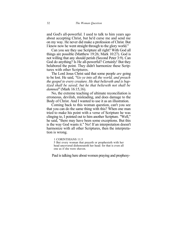and God's all-powerful. I used to talk to him years ago about accepting Christ, but he'd curse me and send me on my way. He never did make a profession of Christ. But I know now he went straight through to the glory world."

Can you see they use Scripture all right? With God all things are possible (Matthew 19:26; Mark 10:27). God is not willing that any should perish (Second Peter 3:9). Can God do anything? Is He all-powerful? Certainly! But they belabored the point. They didn't harmonize these Scriptures with other Scriptures.

The Lord Jesus Christ said that some people *are* going to be lost. He said, *"Go ye into all the world, and preach the gospel to every creature. He that believeth and is baptized shall be saved; but he that believeth not shall be damned"* (Mark 16:15,16).

No, the extreme teaching of ultimate reconciliation is erroneous, devilish, misleading, and does damage to the Body of Christ. And I wanted to use it as an illustration.

Coming back to this woman question, can't you see that you can do the same thing with this? When one man tried to make his point with a verse of Scripture he was clinging to, I pointed out to him another Scripture. "Well," he said, "there may have been some exceptions. But this is the way God wants it." No! If an interpretation doesn't harmonize with all other Scriptures, then the interpretation is wrong.

1 CORINTHIANS 11:5

5 But every woman that prayeth or prophesieth with her head uncovered dishonoureth her head: for that is even all one as if she were shaven.

Paul is talking here about women praying and prophesy-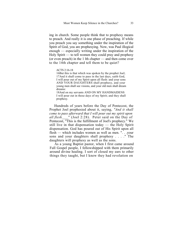ing in church. Some people think that to prophesy means to preach. And really it is one phase of preaching. If while you preach you say something under the inspiration of the Spirit of God, you are prophesying. Now, was Paul illogical enough — especially writing under the inspiration of the Holy Spirit — to tell women they could pray and prophesy (or even preach) in the 1 lth chapter — and then come over to the 14th chapter and tell them to be quiet?

#### ACTS 2:16-18

16But this is that which was spoken by the prophet Joel; 17And it shall come to pass in the last days, saith God, I will pour out of my Spirit upon all flesh: and your sons AND YOUR DAUGHTERS shall prophesy, and your young men shall see visions, and your old men shall dream dreams:

18And on my servants AND ON MY HANDMAIDENS I will pour out in those days of my Spirit; and they shall prophesy.

Hundreds of years before the Day of Pentecost, the Prophet Joel prophesied about it, saying, *"And it shall come to pass afterward that I will pour out my spirit upon all flesh\_\_\_\_*" (Joel 2:28). Peter said on the Day of Pentecost, "This is the fulfillment of Joel's prophecy." We still live in that dispensation today — the Holy Spirit dispensation. God has poured out of His Spirit upon all flesh — which includes women as well as men. ". . .your sons and your daughters shall prophesy . . . ." The daughters will prophesy as well as the sons.

As a young Baptist pastor, when I first came around Full Gospel people, I fellowshipped with them primarily around divine healing. I sort of closed my ears to other things they taught, but I knew they had revelation on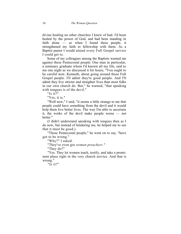divine healing no other churches I knew of had. I'd been healed by the power of God, and had been standing in faith alone — so when I found these people, it strengthened my faith to fellowship with them. As a Baptist pastor I would attend every Full Gospel service I could get to.

Some of my colleagues among the Baptists warned me against these Pentecostal people. One man in particular, a seminary graduate whom I'd known all my life, said to me one night as we discussed it for hours, "You ought to be careful now, Kenneth, about going around those Full Gospel people. I'll admit they're good people. And I'll admit they live stricter and straighter lives than most folks in our own church do. But," he warned, "that speaking with tongues is of the devil."

"Is it?"

"Yes, it is."

"Well now," I said, "it seems a little strange to me that people could have something from the devil and it would help them live better lives. The way I'm able to ascertain it, the works of the devil make people worse — not better."

(I didn't understand speaking with tongues then as I do now, but instead of hindering me, he helped me to see that it must be good.)

"Those Pentecostal people," he went on to say, "have got to be wrong."

"Why?" I asked.

"They've even got *women preachers."*

"They do?"

"Yes. They let women teach, testify, and take a prominent place right in the very church service. And that is wrong."

"Is it?"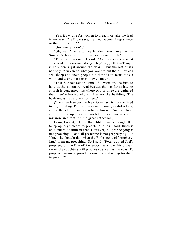"Yes, it's wrong for women to preach, or take the lead in any way. The Bible says, 'Let your women keep silence in the church ....'"

"Our women don't."

"Oh, well," he said, "we let them teach over in the Sunday School building, but not in the church."

"That's ridiculous!" I said. "And it's exactly what Jesus said the Jews were doing. They'd say, 'Oh, the Temple is holy here right around the altar — but the rest of it's not holy. You can do what you want to out there. You can sell sheep and cheat people out there.' But Jesus took a whip and drove out the money changers.

"That Sunday School annex," I went on, "is just as holy as the sanctuary. And besides that, as far as having church is concerned, it's where two or three are gathered that they're having church. It's not the building. The building is just a place to meet."

(The church under the New Covenant is not confined to any building. Paul wrote several times, as did others, about the church in So-and-so's house. You can have church in the open air, a barn loft, downtown in a little mission, in a tent, or in a great cathedral.)

Being Baptist, I knew this Bible teacher thought that to "prophesy" meant to preach. And, as I said, there is an element of truth in that. However, *all* prophesying is not preaching — and all preaching is not prophesying. But I knew he thought that when the Bible spoke of "prophesying," it meant preaching. So I said, "Peter quoted Joel's prophecy on the Day of Pentecost that under this dispensation the daughters will prophesy as well as the sons. To prophesy means to preach, doesn't it? Is it wrong for them to preach?"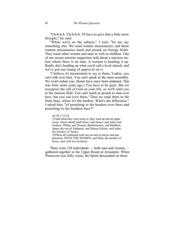"Uh-h-h-h. Uh-h-h-h. I'll have to give that a little more thought," he said.

"While we're on the subject," I said, "let me say something else. We send women missionaries, and those women missionaries teach and preach on foreign fields. They teach other women and men as well as children. One of our recent mission magazines told about a mission station where there is no man. A woman is heading it up. Really she's heading up what you'd call a local church, and we've put our stamp of approval on it.

"I believe it's inconsistent to say to them, 'Ladies, you can't talk over here. You can't speak in the main assembly. We won't ordain you. (Some have since been ordained. This was forty some years ago.) You have to be quiet. But we recognize the call of God on your life, so we'll send you to the mission field. You can't teach or preach to men over here, but you can over there.' Then we send them to the front lines, where it's the hardest. What's the difference," I asked him, "of preaching to the heathen over there and preaching to the heathen here?"

ACTS 1:13,14

13And when they were come in, they went up into an upper room, where abode both Peter, and James, and John, and Andrew, Philip, and Thomas, Bartholomew, and Matthew, James the son of Alphaeus, and Simon Zelotes, and Judas the brother of James.

14These all continued with one accord in prayer and sup plication, WITH THE WOMEN, and Mary the mother of Jesus, and with his brethren.

There were 120 individuals — both men and women gathered together in the Upper Room at Jerusalem. When Pentecost was fully come, the Spirit descended on them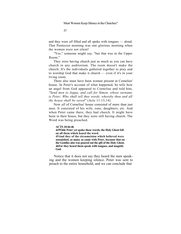Must Women Keep Silence in the Churches?

37

and they were *all* filled and all spoke with tongues — aloud. That Pentecost morning was one glorious morning when the women were not silent!

"Yes," someone might say, "but that was in the Upper Room."

They were having church just as much as you can have church in any auditorium. The room doesn't make the church. It's the individuals gathered together to pray and to worship God that make it church — even if it's in your living room.

There also must have been women present at Cornelius' house. In Peter's account of what happened, he tells how an angel from God appeared to Cornelius and told him, *"Send men to Joppa, and call for Simon, whose surname is Peter; Who shall tell thee words, whereby thou and all thy house shall be saved"* (Acts 11:13,14).

Now *all* of Cornelius' house consisted of more than just men. It consisted of his wife, sons, daughters, etc. And when Peter came there, they had church. It might have been in their house, but they were still having church. The Word was being preached.

**ACTS 10:44-46**

**44While Peter yet spake these words, the Holy Ghost fell on all them which heard the word.**

**45And they of the circumcision which believed were astonished, as many as came with Peter, because that on the Gentiles also was poured out the gift of the Holy Ghost. 46For they heard them speak with tongues, and magnify God.**

Notice that it does not say they heard the men speaking and the women keeping silence. Peter was sent to preach to the entire household, and we can conclude that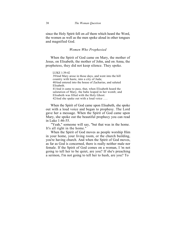since the Holy Spirit fell on *all* them which heard the Word, the women as well as the men spoke aloud in other tongues and magnified God.

## *Women Who Prophesied*

When the Spirit of God came on Mary, the mother of Jesus, on Elisabeth, the mother of John, and on Anna, the prophetess, they did not keep silence. They spoke.

#### LUKE 1:39-42

39And Mary arose in those days, and went into the hill country with haste, into a city of Juda; 40And entered into the house of Zacharias, and saluted Elisabeth. 41And it came to pass, that, when Elisabeth heard the salutation of Mary, the babe leaped in her womb; and Elisabeth was filled with the Holy Ghost: 42And she spake out with a loud voice ....

When the Spirit of God came upon Elisabeth, she spoke out with a loud voice and began to prophesy. The Lord gave her a message. When the Spirit of God came upon Mary, she spoke out the beautiful prophecy you can read in Luke 1:46-55.

"Yeah," someone will say, "but that was in the home. It's all right in the home."

When the Spirit of God moves as people worship Him in your home, your living room, or the church building, you're having church. And when the Spirit of God moves, as far as God is concerned, there is really neither male nor female. If the Spirit of God comes on a woman, I 'm not going to tell her to be quiet, are you? If she's preaching a sermon, I'm not going to tell her to hush, are you? To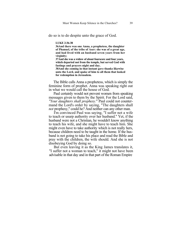do so is to do despite unto the grace of God.

#### **LUKE 2:36-38**

**36And there was one Anna, a prophetess, the daughter of Phanuel, of the tribe of Aser: she was of a great age, and had lived with an husband seven years from her virginity;**

**37And she was a widow of about fourscore and four years, which departed not from the temple, but served God with fastings and prayers night and day.**

**38And she coming in that instant gave thanks likewise unto the Lord, and spake of him to all them that looked for redemption in Jerusalem.**

The Bible calls Anna a prophetess, which is simply the feminine form of prophet. Anna was speaking right out in what we would call the house of God.

Paul certainly would not prevent women from speaking messages given to them by the Spirit. For the Lord said, *"Your daughters shall prophesy.*" Paul could not countermand the Lord's order by saying, "The daughters shall *not* prophesy," could he? And neither can any other man.

I'm convinced Paul was saying, "I suffer not a wife to teach or usurp authority over her husband." Yet, if the husband were not a Christian, he wouldn't know anything to teach his wife, and she might have to teach him. She might even have to take authority which is not really hers, because children need to be taught in the home. If the husband is not going to take his place and read the Bible and pray with the children, the wife should. And she is not disobeying God by doing so.

But even leaving it as the King James translates it, "I suffer not a woman to teach," it might not have been advisable in that day and in that part of the Roman Empire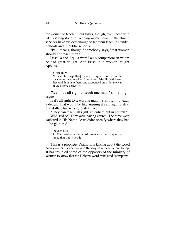for women to teach. In our times, though, even those who take a strong stand for keeping women quiet in the church services have yielded enough to let them teach in Sunday Schools and in public schools.

"Paul means, though," somebody says, "that women should not teach men."

Priscilla and Aquila were Paul's companions in whom he had great delight. And Priscilla, a woman, taught Apollos.

ACTS 18:26

26 And he [Apollos] began to speak boldly in the synagogue: whom when Aquila and Priscilla had heard, they took him unto them, and expounded unto him the way of God more perfectly.

"Well, it's all right to teach one man," some might argue.

If it's all right to teach one man, it's all right to teach a dozen. That would be like arguing it's all right to steal one dollar, but wrong to steal five.

"They can teach, all right, anywhere but in church."

Who said so? They were having church. The three were gathered in His Name. Jesus didn't specify where they had to be gathered.

#### PSALM 68:11

11 The Lord gave the word: great was the company of those that published it.

This is a prophetic Psalm. It is talking about the Good News — the Gospel — and the day in which we are living. It has troubled some of the opposers of the ministry of women to know that the Hebrew word translated "company"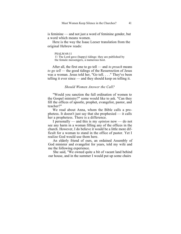is feminine — and not just a word of feminine gender, but a word which means women.

Here is the way the Isaac Leeser translation from the original Hebrew reads:

#### PSALM 68:11

11 The Lord gave (happy) tidings: they are published by the female messengers, a numerous host.

After all, the first one to go tell — and *to preach* means *to go tell —* the good tidings of the Resurrection of Jesus was a woman. Jesus told her, "Go tell. . . ." They've been telling it ever since — and they should keep on telling it.

### *Should Women Answer the Call?*

"Would you sanction the full ordination of women to the Gospel ministry?" some would like to ask. "Can they fill the offices of apostle, prophet, evangelist, pastor, and teacher?"

We read about Anna, whom the Bible calls a prophetess. It doesn't just say that she prophesied — it calls her a prophetess. There is a difference.

I personally — and this is my *opinion* now — do not see any harm in a woman filling any of the offices in the church. However, I do believe it would be a little more difficult for a woman to stand in the office of pastor. Yet I realize God would use them here.

An elderly friend of ours, an ordained Assembly of God minister and evangelist for years, told my wife and me the following experience.

She said, "We owned quite a bit of vacant land behind our house, and in the summer I would put up some chairs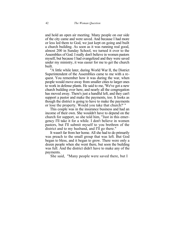and hold an open air meeting. Many people on our side of the city came and were saved. And because I had more or less led them to God, we just kept on going and built a church building. As soon as it was running real good, almost 200 in Sunday School, we turned it over to the Assemblies of God. I really don't believe in women pastors myself, but because I had evangelized and they were saved under my ministry, it was easier for me to get the church built.

"A little while later, during World War II, the District Superintendent of the Assemblies came to me with a request. You remember how it was during the war, when people would move away from smaller cities to larger ones to work in defense plants. He said to me, 'We've got a new church building over here, and nearly all the congregation has moved away. There's just a handful left, and they can't support a pastor and make the payments, too. It looks as though the district is going to have to make the payments or lose the property. Would you take that church?' "

This couple was in the insurance business and had an income of their own. She wouldn't have to depend on the church for support, so she told him, "Just in this emergency I'll take it for a while. I don't believe in women pastors, but I'll submit myself to you brethren of the district and to my husband, and I'll go there."

It wasn't far from her home. All she had to do primarily was preach to the small group that was left. But God began to bless, and it began to grow. There were only a dozen people when she went there, but soon the building was full. And the district didn't have to make any of the payments.

She said, "Many people were saved there, but I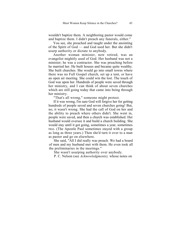wouldn't baptize them. A neighboring pastor would come and baptize them. I didn't preach any funerals, either."

You see, she preached and taught under the anointing of the Spirit of God — and God used her. But she didn't usurp authority or dictate to anybody.

Another woman minister, now retired, was an evangelist mightily used of God. Her husband was not a minister; he was a contractor. She was preaching before he married her. He built houses and became quite wealthy. She built churches. She would go into small towns where there was no Full Gospel church, set up a tent, or have an open air meeting. She could win the lost. The touch of God was upon her. Hundreds of people were saved through her ministry, and I can think of about seven churches which are still going today that came into being through her ministry.

"That's all wrong," someone might protest.

If it was wrong, I'm sure God will forgive her for getting hundreds of people saved and seven churches going! But, no, it wasn't wrong. She had the call of God on her and the ability to preach where others didn't. She went in, people were saved, and then a church was established. Her husband would oversee it and build a church building. She would stay until it got going, sometimes a year, sometimes two. (The Apostle Paul sometimes stayed with a group as long as three years.) Then she'd turn it over to a man as pastor and go on elsewhere.

She said, "All I did really was preach. We had a board of men and my husband met with them. He even took all the preliminaries in the meetings."

She wasn't usurping authority over anybody.

P. C. Nelson (see *Acknowledgments),* whose notes on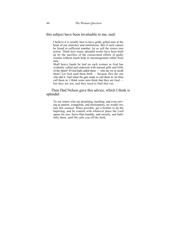this subject have been invaluable to me, said:

I believe it is usually best to have godly gifted men at the head of our churches and institutions. But if such cannot be found in sufficient number, let us call the sisters into action. Think how many splendid works have been built up by the sacrifice of the consecrated efforts of godly women without much help or encouragement either from men.

Shall heavy hands be laid on such women as God has evidently called and endowed with natural gifts and Gifts of the Spirit? If God hath called them — who are we to recall them? Let God send them forth — because He's the one who did it. And when He gets ready to call them in, let Him call them in. I think some men think that they are God but they are not, and they need to find that out.

Then Dad Nelson gave this advice, which I think is splendid:

To our sisters who are preaching, teaching, and even serving as pastors, evangelists, and missionaries, we would venture this counsel. When possible, get a brother to do the baptizing, and be content with whatever place the Lord opens for you. Serve Him humbly, and sweetly, and faithfully there, until He calls you off the field.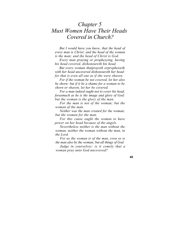# *Chapter 5 Must Women Have Their Heads Covered in Church?*

*But I would have you know, that the head of every man is Christ; and the head of the woman is the man; and the head of Christ is God.*

*Every man praying or prophesying, having his head covered, dishonoureth his head.*

*But every woman thatprayeth orprophesieth with her head uncovered dishonoureth her head: for that is even all one as if she were shaven.*

*For if the woman be not covered, let her also be shorn: but if it be a shame for a woman to be shorn or shaven, let her be covered.*

*For a man indeed ought not to cover his head, forasmuch as he is the image and glory of God: but the woman is the glory of the man.*

*For the man is not of the woman; but the woman of the man.*

*Neither was the man created for the woman; but the woman for the man.*

*For this cause ought the woman to have power on her head because of the angels.*

*Nevertheless neither is the man without the woman, neither the woman without the man, in the Lord.*

*For as the woman is of the man, even so is the man also by the woman; but all things of God.*

*Judge in yourselves: is it comely that a woman pray unto God uncovered?*

**45**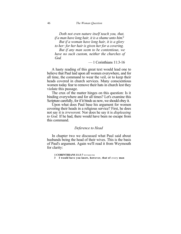*Doth not even nature itself teach you, that, if a man have long hair, it is a shame unto him? But if a woman have long hair, it is a glory to her: for her hair is given her for a covering. But if any man seem to be contentious, we have no such custom, neither the churches of God.*

 $-1$  Corinthians 11:3-16

A hasty reading of this great text would lead one to believe that Paul laid upon all women everywhere, and for all time, the command to wear the veil, or to keep their heads covered in church services. Many conscientious women today fear to remove their hats in church lest they violate this passage.

The crux of the matter hinges on this question: Is it binding everywhere and for all times? Let's examine this Scripture carefully, for if it binds us now, we should obey it.

Upon what does Paul base his argument for women covering their heads in a religious service? First, he does not say it is *irreverent.* Nor does he say it is *displeasing to God.* If he had, there would have been no escape from this command.

## *Deference to Head*

In chapter two we discussed what Paul said about husbands being the head of their wives. This is the basis of Paul's argument. Again we'll read it from Weymouth for clarity:

**1 CORINTHIANS 11:3-7** WEYMOUTHI

**3 I would have you know, however, that of** every **man**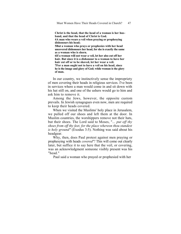**Christ is the head, that the head of a woman is her husband, and that the head of Christ is God.**

**4A man who wears a veil when praying or prophesying dishonours his head;**

**5But a woman who prays or prophesies with her head uncovered dishonours her head, for she is exactly the same as a woman who is shorn.**

**6If a woman will not wear a veil, let her also cut off her hair. But since it is a dishonour to a woman to have her hair cut off or to be shaved, let her wear a veil. 7For a man ought not to have a veil on his head, since he is the image and glory of God; while woman is the glory of man.**

In our country, we instinctively sense the impropriety of men covering their heads in religious services. I've been in services where a man would come in and sit down with his hat still on, and one of the ushers would go to him and ask him to remove it.

Among the Jews, however, the opposite custom prevails. In Jewish synagogues even now, men are required to keep their heads covered.

When we visited the Muslims' holy place in Jerusalem, we pulled off our shoes and left them at the door. In Muslim countries, the worshippers remove not their hats, but their shoes. The Lord said to Moses, "... *put off thy shoes from off thy feet, for the place whereon thou standest is holy ground"* (Exodus 3:5). Nothing was said about his headgear.

Why, then, does Paul protest against men praying or prophesying with heads *covered"!* This will come out clearly later, but suffice it to say here that the veil, or covering, was an acknowledgment someone visibly present was his "head."

Paul said a woman who prayed or prophesied with her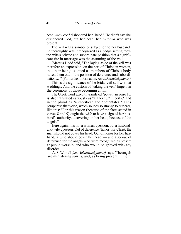head *uncovered* dishonored her "head." He didn't say she dishonored God, but her head, her *husband* who was present.

The veil was a symbol of subjection to her husband. So thoroughly was it recognized as a badge setting forth the wife's private and subordinate position that a significant rite in marriage was the assuming of the veil.

(Marcus Dodd said, "The laying aside of the veil was therefore an expression, on the part of Christian women, that their being assumed as members of Christ's body raised them out of the position of deference and subordination ... ." (For further information, *see Acknowledgments.)*

This is the significance of the bridal veil still worn at weddings. And the custom of "taking the veil" lingers in the ceremony of those becoming a nun.

The Greek word *exousia,* translated "power" in verse 10, is also translated variously as "authority," "liberty," and in the plural as "authorities" and "potentates." Let's paraphrase that verse, which sounds so strange to our ears, like this: "For this reason (because of the facts stated in verses 8 and 9) ought the wife to have a sign of her husband's authority, a covering on her head, because of the angels."

Here again, it is not a woman question, but a husbandand-wife question. Out of deference (honor) for Christ, the man should not cover his head. Out of honor for her husband, a wife should cover her head — and also out of deference for the angels who were recognized as present at public worship, and who would be grieved with any disorder.

A. S. Worrell *{see Acknowledgments)* says, "The angels are ministering spirits, and, as being present in their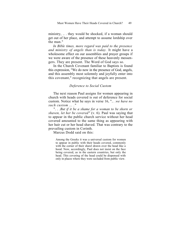ministry, .. . they would be shocked, if a woman should get out of her place, and attempt to assume lordship over the man."

*In Bible times, more regard was paid to the presence and ministry of angels than is today.* It might have a wholesome effect on our assemblies and prayer groups if we were aware of the presence of these heavenly messengers. They are present. The Word of God says so.

In the Church Covenant familiar to Baptists is found this expression, "We do now in the presence of God, angels, and this assembly most solemnly and joyfully enter into this covenant," recognizing that angels are present.

## *Deference to Social Custom*

The next reason Paul assigns for women appearing in church with heads covered is out of deference for social custom. Notice what he says in verse 16, ".. *.we have no such custom ... .*"

". . *.But if it be a shame for a woman to be shorn or shaven, let her be covered"* (v. 6). Paul was saying that to appear in the public church service without her head covered amounted to the same thing as appearing with her hair cut or her head shaved. That was contrary to the prevailing custom in Corinth.

Marcus Dodd said on this:

Among the Greeks it was a universal custom for women to appear in public with their heads covered, commonly with the corner of their shawl drawn over the head like a hood. Now, accordingly, Paul does not insist on the face being covered, as in the eastern countries, but only the head. This covering of the head could be dispensed with only in places where they were secluded from public view.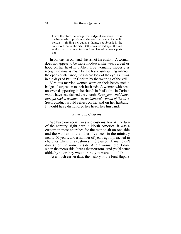It was therefore the recognized badge of seclusion. It was the badge which proclaimed she was a private, not a public person — finding her duties at home, not abroad; in the household, not in the city. Both sexes looked upon the veil as the truest and most treasured emblem of woman's position.

In our day, in our land, this is not the custom. A woman does not appear to be more modest if she wears a veil or hood on her head in public. True womanly modesty is recognized now as much by the frank, unassuming manner, the open countenance, the sincere look of the eye, as it was in the days of Paul in Corinth by the wearing of the veil.

Virtuous married women wore on their heads such a badge of subjection to their husbands. A woman with head uncovered appearing in the church in Paul's time in Corinth would have scandalized the church. *Strangers would have thought such a woman was an immoral woman of the city!* Such conduct would reflect on her and on her husband. It would have dishonored her head, her husband.

## *American Customs*

We have our social laws and customs, too. At the turn of the century, right here in North America, it was a custom in most churches for the men to sit on one side and the women on the other. I've been in the ministry nearly 50 years, and a number of years ago I preached in churches where this custom still prevailed. A man didn't dare sit on the women's side. And a woman didn't dare sit on the men's side. It was their custom. And you'd better abide by it, or they would think you were out of line.

At a much earlier date, the history of the First Baptist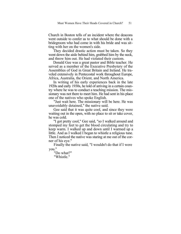Church in Boston tells of an incident where the deacons went outside to confer as to what should be done with a bridegroom who had come in with his bride and was sitting with her on the women's side.

They decided drastic action must be taken. So they went down the aisle behind him, grabbed him by the neck, and threw him out. He had violated their custom.

Donald Gee was a great pastor and Bible teacher. He served as a member of the Executive Presbytery of the Assemblies of God in Great Britain and Ireland. He traveled extensively in Pentecostal work throughout Europe, Africa, Australia, the Orient, and North America.

In writing of his early experiences back in the late 1920s and early 1930s, he told of arriving in a certain country where he was to conduct a teaching mission. The missionary was not there to meet him. He had sent in his place one of the natives who spoke English.

"Just wait here. The missionary will be here. He was unavoidably detained," the native said.

Gee said that it was quite cool, and since they were waiting out in the open, with no place to sit or take cover, he was cold.

"I got pretty cool," Gee said, "so I walked around and stomped my feet to get the blood circulating and try to keep warm. I walked up and down until I warmed up a little. And as I walked I began to whistle a religious tune. Then I noticed the native was staring at me out of the corner of his eye."

Finally the native said, "I wouldn't do that if I were you."

"Do what?"

"Whistle."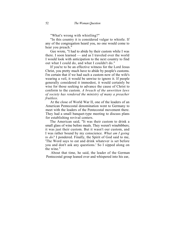"What's wrong with whistling?"

"In this country it is considered vulgar to whistle. If any of the congregation heard you, no one would come to hear you preach."

Gee wrote, "I had to abide by their custom while I was there. I soon learned — and as I traveled over the world I would look with anticipation to the next country to find out what I could do, and what I couldn't do."

If you're to be an effective witness for the Lord Jesus Christ, you pretty much have to abide by people's customs. I'm certain that if we had such a custom now of the wife's wearing a veil, it would be unwise to ignore it. If people generally considered it immodest, it would certainly be wise for those seeking to advance the cause of Christ to conform to the custom. *A breach of the unwritten laws of society has rendered the ministry of many a preacher fruitless.*

At the close of World War II, one of the leaders of an American Pentecostal denomination went to Germany to meet with the leaders of the Pentecostal movement there. They had a small banquet-type meeting to discuss plans for establishing revival centers.

The American said, "It was their custom to drink a small glass of wine before meals. They weren't winebibbers; it was just their custom. But it wasn't our custom, and I was rather bound by my conscience. *What am I going to do?* I pondered. Finally, the Spirit of God said to me, 'The Word says to eat and drink whatever is set before you and don't ask any questions.' So I sipped along on the wine."

About that time, he said, the leader of the German Pentecostal group leaned over and whispered into his ear,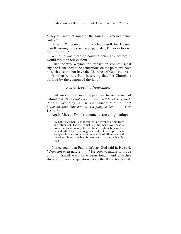"They tell me that some of the saints in America drink *coffee."*

He said, "Of course I drink coffee myself, but I found myself turning to her and saying, 'Sister, I'm sorry to say, but they do.' "

While he was there he couldn't drink any coffee; it would violate their custom.

I like the way Weymouth's translation says it: "But if any one is inclined to be contentious on the point, we have no such custom, nor have the Churches of God" (v. 16).

In other words, Paul is saying that the Church is abiding by the custom of the land.

## *PauVs Appeal to Naturalness*

Paul makes one more appeal — to our sense of naturalness. *"Doth not even nature itself teach you, that, if a man have long hair, it is a shame unto him? But if a woman have long hair, it is a glory to her*...." (1 Cor. 11:14,15).

Again Marcus Dodd's comments are enlightening:

By nature woman is endowed with a symbol of modesty and retirement. The veil which signifies her devotement to home duties is merely the artificial continuation of her natural gift of hair. The long hair of the Greek fop . . . was accepted by the people as an indication of effeminate and luxurious living suitable for women . . . unsuitable for men.

Notice again that Paul didn't say God said it. He said, "Does not even nature . . . ." He goes to nature to prove a point. Small wars have been fought and churches disrupted over the question: Does the Bible teach that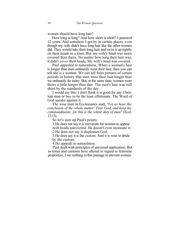women should have long hair?

How long is long? And how short is short? I pastored 12 years. And somehow I got by in certain places, even though my wife didn't have long hair like the other women did. They would take their long hair and twist it up tightly on their heads in a knot. But my wife's head was more covered than theirs. No matter how long their hair was, it didn't *cover* their heads. My wife's head was covered.

Paul appealed to naturalness. When a woman's hair is longer than men ordinarily wear their hair, then you can tell she is a woman. We can tell from pictures of certain periods in history that men wore their hair longer than we ordinarily do today. But, at the same time, women wore theirs a little longer than that. The men's hair was still short by the standards of the day.

I would say this: I don't think it is good for any Christian man or boy to be the least effeminate. The Word of God speaks against it.

The wise man in Ecclesiastes said, *''Let us hear the conclusion of the whole matter: Fear God, and keep his commandments: for this is the whole duty of man"* (Eccl. 12:13).

So let's sum up Paul's points:

1.He does not say it is irreverent for women to appear with heads uncovered. He doesn't even insinuate it. 2.He does not say it displeases God.

3.He does say it is the *custom.* And it is wise to abide by the custom.

4.He appeals to naturalness.

Paul dealt with principles of universal application. But as times and customs have altered in regard to feminine proprieties, I see nothing in this passage to prevent women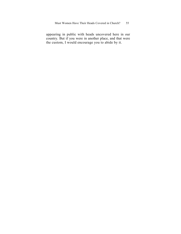appearing in public with heads uncovered here in our country. But if you were in another place, and that were the custom, I would encourage you to abide by it.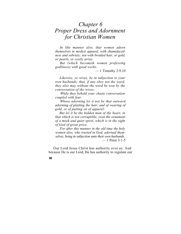# *Chapter 6 Proper Dress and Adornment for Christian Women*

*In like manner also, that women adorn themselves in modest apparel, with shamefacedness and sobriety; not with broided hair, or gold, or pearls, or costly array.*

*But (which becometh women professing godliness) with good works.*

*—* 1 Timothy 2:9,10

*Likewise, ye wives, be in subjection to your own husbands; that, if any obey not the word, they also may without the word be won by the conversation of the wives;*

*While they behold your chaste conversation coupled with fear.*

*Whose adorning let it not be that outward adorning of plaiting the hair, and of wearing of gold, or of putting on of apparel;*

*But let it be the hidden man of the heart, in that which is not corruptible, even the ornament of a meek and quiet spirit, which is in the sight of God of great price.*

*For after this manner in the old time the holy women also, who trusted in God, adorned themselves, being in subjection unto their own husbands.* — 1 Peter 3:1-5

Our Lord Jesus Christ has authority over us. And because He is our Lord, He has authority to regulate our

**56**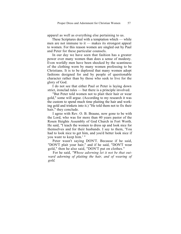apparel as well as everything else pertaining to us.

These Scriptures deal with a temptation which — while men are not immune to it — makes its strongest appeal to women. For this reason women are singled out by Paul and Peter for these particular counsels.

In our day we have seen that fashion has a greater power over many women than does a sense of modesty. Even worldly men have been shocked by the scantiness of the clothing worn by many women professing to be Christians. It is to be deplored that many women adopt fashions designed for and by people of questionable character rather than by those who seek to live for the glory of God.

I do not see that either Paul or Peter is laying down strict, ironclad rules — but there is a principle involved.

"But Peter told women not to plait their hair or wear gold," some will argue. (According to my research it was the custom to spend much time plaiting the hair and working gold and trinkets into it.) "He told them not to fix their hair," they conclude.

I agree with Rev. O. B. Braune, now gone to be with the Lord, who was for more than 40 years pastor of the Rosen Heights Assembly of God Church in Fort Worth. He said, "I teach the women to dress up and look nice for themselves and for their husbands. I say to them, 'You had to look nice to get him, and you'd better look nice if you want to keep him.' "

Peter wasn't saying DON'T. Because if he said, "DON'T plait your hair," and if he said, "DON'T wear gold," then he also said, "DON'T put on clothes."

For he said, *"Whose adorning let it not be that outward adorning of plaiting the hair, and of wearing of gold,*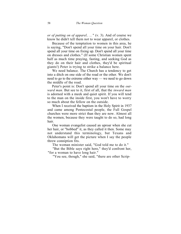*or of putting on of apparel.. .*. " (v. 3). And of course we know he didn't tell them not to wear apparel, or clothes.

Because of the temptation to women in this area, he is saying, "Don't spend all your time on your hair. Don't spend all your time on fixing up. Don't spend all your time on dresses and clothes." (If some Christian women spent half as much time praying, fasting, and seeking God as they do on their hair and clothes, they'd be spiritual giants!) Peter is trying to strike a balance here.

We need balance. The Church has a tendency to get into a ditch on one side of the road or the other. We don't need to go to the extreme either way — we need to go down the middle of the road.

Peter's point is: Don't spend all your time on the *outward man.* But see to it, first of all, that the *inward man* is adorned with a meek and quiet spirit. If you will tend to the man on the inside first, you won't have to worry so much about the fellow on the outside.

When I received the baptism in the Holy Spirit in 1937 and came among Pentecostal people, the Full Gospel churches were more strict than they are now. Almost all the women, because they were taught to do so, had long hair.

One woman evangelist caused an uproar when she cut her hair, or "bobbed" it, as they called it then. Some may not understand this terminology, but Texans and Oklahomans will get the picture when I say the people threw conniption fits.

The woman minister said, "God told me to do it."

"But the Bible says right here," they'd confront her, "for a woman to have long hair."

"You see, though," she said, "there are other Scrip-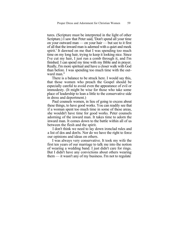tures. (Scripture must be interpreted in the light of other Scripture.) I saw that Peter said, 'Don't spend all your time on your outward man — on your hair — but see to it first of all that the inward man is adorned with a quiet and meek spirit.' It dawned on me that I was spending too much time on my long hair, trying to keep it looking nice. Since I've cut my hair, I just run a comb through it, and I'm finished. I can spend my time with my Bible and in prayer. Really, I'm more spiritual and have a closer walk with God than before. I was spending too much time with the outward man."

There is a balance to be struck here. I would say this, that those women who preach the Gospel should be especially careful to avoid even the appearance of evil or immodesty. (It might be wise for those who take some place of leadership to lean a little to the conservative side in dress and deportment.)

Paul counsels women, in lieu of going to excess about these things, to have good works. You can readily see that if a woman spent too much time in some of these areas, she wouldn't have time for good works. Peter counsels adorning of the inward man. It takes time to adorn the inward man. It comes down to the battle within all of us between the flesh and the spirit.

I don't think we need to lay down ironclad rules and a list of dos and don'ts. Nor do we have the right to force our opinions and ideas on others.

I was always very conservative. It took my wife the first ten years of our marriage to talk me into the notion of wearing a wedding band. I just didn't care for rings. But I didn't have any convictions about others wearing them — it wasn't any of my business. I'm not to regulate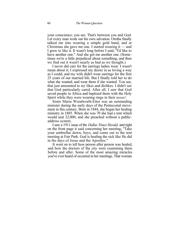your conscience; you are. That's between you and God. Let every man work out his own salvation. Oretha finally talked me into wearing a simple gold band, and at Christmas she gave me one. I started wearing it — and I grew to like it. It wasn't long before I said, "I'd like to have another one." And she got me another one. (Sometimes we're a little prejudiced about something, and then we find out it wasn't nearly as bad as we thought.)

I never did care for the earrings ladies wear. I wasn't mean about it; I expressed my desire in as loving a way as I could, and my wife didn't wear earrings for the first 25 years of our married life. But I finally told her to do what she wanted, and wear them if she wanted. You see, that just amounted to *my* likes and dislikes. I didn't see that God particularly cared. After all, I saw that God saved people in Africa and baptized them with the Holy Spirit while they were wearing rings in their *noses!*

Sister Maria Woodworth-Etter was an outstanding minister during the early days of the Pentecostal movement in this century. Born in 1844, she began her healing ministry in 1885. When she was 70 she had a tent which would seat 22,000, and she preached without a publicaddress system.

I saw a 1911 issue of the *Dallas Times Herald,* and right on the front page it said concerning her meeting, "Take your umbrellas down, boys, and come out to the tent meeting at Fair Park. God is healing the sick like He did in the days of Jesus and the Apostles."

It went on to tell how person after person was healed, and how the doctors of the city were examining them before and after. Some of the most amazing miracles you've ever heard of occurred in her meetings. That woman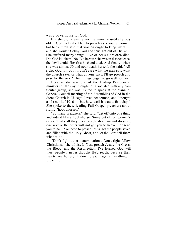was a powerhouse for God.

But she didn't even enter the ministry until she was older. God had called her to preach as a young woman, but her church said that women ought to keep silent and she wouldn't obey God and thus got out of His will. She suffered many things. Five of her six children died. Did God kill them? No. But because she was in disobedience, the devil could. Her first husband died. And finally, when she was almost 50 and near death herself, she said, "All right, God. I'll do it. I don't care what the men say, what the church says, or what anyone says. I'll go preach and pray for the sick." Then things began to go well for her.

Because she was one of the leading Pentecostal ministers of the day, though not associated with any particular group, she was invited to speak at the biannual General Council meeting of the Assemblies of God in the Stone Church in Chicago. I read her sermon, and I thought as I read it, "1916 — but how well it would fit today!" She spoke to these leading Full Gospel preachers about riding "hobbyhorses."

"So many preachers," she said, "get off onto one thing and ride it like a hobbyhorse. Some get off on women's dress. That's all they ever preach about — and dressing one way or the other will not get you to heaven, or send you to hell. You need to preach Jesus, get the people saved and filled with the Holy Ghost, and let the Lord tell them what to do.

"Don't fight other denominations. Don't fight fellow Christians," she advised. "Just preach Jesus, the Cross, the Blood, and the Resurrection. I've learned God will meet people I never thought He'd reach, because their hearts are hungry. I don't preach against anything. I preach for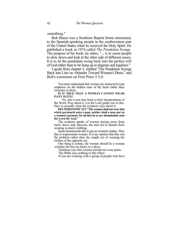something."

Bob Buess was a Southern Baptist home missionary to the Spanish-speaking people in the southwestern part of the United States when he received the Holy Spirit. He published a book in 1974 called *The Pendulum Swings.* The purpose of his book, he states, "... is to cause people to slow down and look at the other side of different issues. It is to let the pendulum swing back into the perfect will of God rather than to be hung up in dogmas and legalism."

I quote from chapter 5, entitled "The Pendulum Swings Back into Line on Attitudes Toward Women's Dress," and Bob's comments on First Peter 3:3,4:

You must understand that women are instructed to put emphasis on the hidden man of the heart rather than extremes in dress.

#### **IS IT TRUE THAT A WOMAN CANNOT WEAR PANT SUITS?**

No, this is not true from a strict interpretation of the Word. Pray about it. Let the Lord guide you in this. Here is actually what the scripture says about it.

**DEUTERONOMY 22:5 "The woman shall not wear that which pertaineth unto a man, neither shall a man put on a woman's garment: for all that do so are abomination unto the Lord thy God."**

The scripture speaks of women staying away from men's dress, and, likewise, the men are to abstain from wearing women's clothing.

Some homosexuals like to put on women's clothes. They like to impersonate women. It is my opinion that this was the problem rather than the simple act of wearing the clothes of the opposite sex.

One thing is certain, the woman should be a woman whether she has on slacks or a dress.

Tradition says that women should not wear pants.

The Bible says nothing to this effect.

If you are working with a group of people who have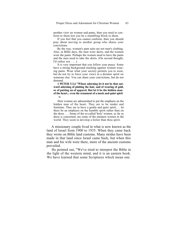another view on women and pants, then you need to conform to them lest you be a stumbling block to them.

If you feel that you cannot conform, then you should pray about moving to another group who shares your convictions.

By the way, women's pant suits are not men's clothing. Also, in Bible days, the men wore skirts, and the women wore the pants. Perhaps the women need to have the pants and the men need to take the skirts. (On second thought, I'd rather not . .. .)

It is very important that you follow your peace. Some have a strong background teaching against women wearing pants. Wear what your society permits you to wear, but do not try to force your views in a dictator spirit on someone else. You can share your convictions, but do not demand.

**1 PETER 3:3,4 "Whose adorning let it not be that outward adorning of plaiting the hair, and of wearing of gold, or of putting on of apparel; But let it be the hidden man of the heart... even the ornament of a meek and quiet spirit** »»

Here women are admonished to put the emphasis on the hidden man of the heart. They are to be tender and feminine. They are to have a gentle and quiet spirit.... let there be an emphasis on the humble spirit rather than on the dress . . . Some of the so-called 'holy' women, as far as dress is concerned, are some of the meanest women in the world. They seem to develop a holier than thou spirit.

A missionary couple lived in what is now known as the land of Israel from 1900 to 1935. When they came back they wrote on Bible land customs. Many strides have been made in that land since Israel came back, but when this man and his wife were there, more of the ancient customs prevailed.

He pointed out, "We've tried to interpret the Bible in the light of the western mind, and it is an eastern book. We have learned that some Scriptures which mean one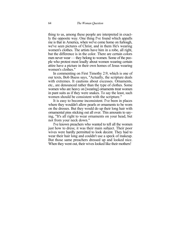thing to us, among these people are interpreted in exactly the opposite way. One thing I've found which appalls me is that in America, when we've come home on furlough, we've seen pictures of Christ, and in them He's wearing women's clothes. The artists have him in a robe, all right, but the difference is in the color. There are certain colors men never wear — they belong to women. Some of the people who protest most loudly about women wearing certain attire have a picture in their own homes of Jesus wearing women's clothes."

In commenting on First Timothy 2:9, which is one of our texts, Bob Buess says, "Actually, the scripture deals with extremes. It cautions about excesses. Ornaments, etc., are denounced rather than the type of clothes. Some women who are heavy on [wearing] ornaments treat women in pant suits as if they were snakes. To say the least, such women should be consistent with the scripture."

It is easy to become inconsistent. I've been in places where they wouldn't allow pearls or ornaments to be worn on the dresses. But they would do up their long hair with ornamental pins sticking out all over. This amounts to saying, "It's all right to wear ornaments on your head, but not from your neck down."

I've known preachers who wanted to tell all the women just how to dress; it was their main subject. Their poor wives were hardly permitted to look decent. They had to wear their hair long and couldn't use a speck of makeup. But those same preachers dressed up and looked nice. When they went out, their wives looked like their mothers!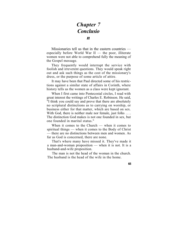## *Chapter 7 Conclusio n*

Missionaries tell us that in the eastern countries especially before World War II — the poor, illiterate women were not able to comprehend fully the meaning of the Gospel message.

They frequently would interrupt the service with foolish and irreverent questions. They would speak right out and ask such things as the cost of the missionary's dress, or the purpose of some article of attire.

It may have been that Paul directed some of his restrictions against a similar state of affairs in Corinth, where history tells us the women as a class were kept ignorant.

When I first came into Pentecostal circles, I read with great interest the writings of Charles E. Robinson. He said, "I think you could say and prove that there are absolutely no scriptural distinctions as to carrying on worship, or business either for that matter, which are based on sex. With God, there is neither male nor female, just folks .... The distinction God makes is not one founded in sex, but one founded in marital status."

When it comes to the Church — when it comes to spiritual things — when it comes to the Body of Christ — there are no distinctions between men and women. As far as God is concerned, there are none.

That's where many have missed it. They've made it a man-and-woman proposition — when it is not. It is a husband-and-wife proposition.

The man is not the head of the woman in the church. The husband is the head of the wife in the home.

**65**